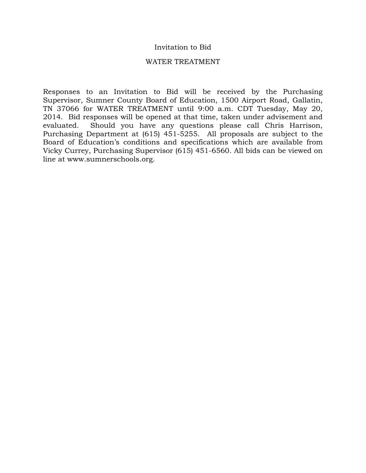#### Invitation to Bid

#### WATER TREATMENT

Responses to an Invitation to Bid will be received by the Purchasing Supervisor, Sumner County Board of Education, 1500 Airport Road, Gallatin, TN 37066 for WATER TREATMENT until 9:00 a.m. CDT Tuesday, May 20, 2014. Bid responses will be opened at that time, taken under advisement and evaluated. Should you have any questions please call Chris Harrison, Purchasing Department at (615) 451-5255. All proposals are subject to the Board of Education's conditions and specifications which are available from Vicky Currey, Purchasing Supervisor (615) 451-6560. All bids can be viewed on line at www.sumnerschools.org.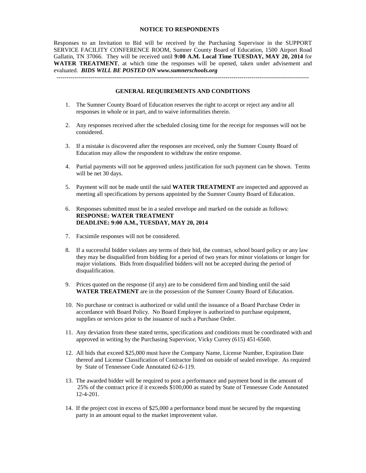#### **NOTICE TO RESPONDENTS**

Responses to an Invitation to Bid will be received by the Purchasing Supervisor in the SUPPORT SERVICE FACILITY CONFERENCE ROOM, Sumner County Board of Education, 1500 Airport Road Gallatin, TN 37066. They will be received until **9:00 A.M. Local Time TUESDAY, MAY 20, 2014** for **WATER TREATMENT**, at which time the responses will be opened, taken under advisement and evaluated. *BIDS WILL BE POSTED ON www.sumnerschools.org*

#### **GENERAL REQUIREMENTS AND CONDITIONS**

-------------------------------------------------------------------------------------------------------------------------------

- 1. The Sumner County Board of Education reserves the right to accept or reject any and/or all responses in whole or in part, and to waive informalities therein.
- 2. Any responses received after the scheduled closing time for the receipt for responses will not be considered.
- 3. If a mistake is discovered after the responses are received, only the Sumner County Board of Education may allow the respondent to withdraw the entire response.
- 4. Partial payments will not be approved unless justification for such payment can be shown. Terms will be net 30 days.
- 5. Payment will not be made until the said **WATER TREATMENT** are inspected and approved as meeting all specifications by persons appointed by the Sumner County Board of Education.
- 6. Responses submitted must be in a sealed envelope and marked on the outside as follows: **RESPONSE: WATER TREATMENT DEADLINE: 9:00 A.M., TUESDAY, MAY 20, 2014**
- 7. Facsimile responses will not be considered.
- 8. If a successful bidder violates any terms of their bid, the contract, school board policy or any law they may be disqualified from bidding for a period of two years for minor violations or longer for major violations. Bids from disqualified bidders will not be accepted during the period of disqualification.
- 9. Prices quoted on the response (if any) are to be considered firm and binding until the said **WATER TREATMENT** are in the possession of the Sumner County Board of Education.
- 10. No purchase or contract is authorized or valid until the issuance of a Board Purchase Order in accordance with Board Policy. No Board Employee is authorized to purchase equipment, supplies or services prior to the issuance of such a Purchase Order.
- 11. Any deviation from these stated terms, specifications and conditions must be coordinated with and approved in writing by the Purchasing Supervisor, Vicky Currey (615) 451-6560.
- 12. All bids that exceed \$25,000 must have the Company Name, License Number, Expiration Date thereof and License Classification of Contractor listed on outside of sealed envelope. As required by State of Tennessee Code Annotated 62-6-119.
- 13. The awarded bidder will be required to post a performance and payment bond in the amount of 25% of the contract price if it exceeds \$100,000 as stated by State of Tennessee Code Annotated 12-4-201.
- 14. If the project cost in excess of \$25,000 a performance bond must be secured by the requesting party in an amount equal to the market improvement value.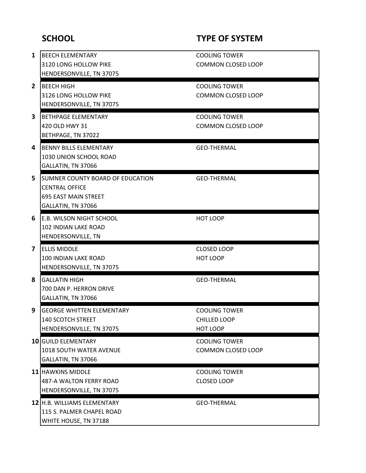# **SCHOOL TYPE OF SYSTEM**

| 1              | <b>BEECH ELEMENTARY</b>                         | <b>COOLING TOWER</b>      |  |
|----------------|-------------------------------------------------|---------------------------|--|
|                | 3120 LONG HOLLOW PIKE                           | <b>COMMON CLOSED LOOP</b> |  |
|                | HENDERSONVILLE, TN 37075                        |                           |  |
| $\overline{2}$ | <b>BEECH HIGH</b>                               | <b>COOLING TOWER</b>      |  |
|                | 3126 LONG HOLLOW PIKE                           | <b>COMMON CLOSED LOOP</b> |  |
|                | HENDERSONVILLE, TN 37075                        |                           |  |
| 3              | <b>BETHPAGE ELEMENTARY</b>                      | <b>COOLING TOWER</b>      |  |
|                | 420 OLD HWY 31                                  | <b>COMMON CLOSED LOOP</b> |  |
|                | BETHPAGE, TN 37022                              |                           |  |
|                |                                                 |                           |  |
| 4              | <b>BENNY BILLS ELEMENTARY</b>                   | <b>GEO-THERMAL</b>        |  |
|                | 1030 UNION SCHOOL ROAD                          |                           |  |
|                | GALLATIN, TN 37066                              |                           |  |
| 5              | SUMNER COUNTY BOARD OF EDUCATION                | <b>GEO-THERMAL</b>        |  |
|                | <b>CENTRAL OFFICE</b>                           |                           |  |
|                | <b>695 EAST MAIN STREET</b>                     |                           |  |
|                | GALLATIN, TN 37066                              |                           |  |
| 6              | <b>E.B. WILSON NIGHT SCHOOL</b>                 | HOT LOOP                  |  |
|                | <b>102 INDIAN LAKE ROAD</b>                     |                           |  |
|                | HENDERSONVILLE, TN                              |                           |  |
|                |                                                 |                           |  |
| 7              | <b>ELLIS MIDDLE</b>                             | <b>CLOSED LOOP</b>        |  |
|                | <b>100 INDIAN LAKE ROAD</b>                     | <b>HOT LOOP</b>           |  |
|                | HENDERSONVILLE, TN 37075                        |                           |  |
| 8              |                                                 |                           |  |
|                | <b>GALLATIN HIGH</b><br>700 DAN P. HERRON DRIVE | <b>GEO-THERMAL</b>        |  |
|                | GALLATIN, TN 37066                              |                           |  |
|                |                                                 |                           |  |
| 9              | <b>GEORGE WHITTEN ELEMENTARY</b>                | <b>COOLING TOWER</b>      |  |
|                | <b>140 SCOTCH STREET</b>                        | CHILLED LOOP<br>HOT LOOP  |  |
|                | HENDERSONVILLE, TN 37075                        |                           |  |
|                | <b>10 GUILD ELEMENTARY</b>                      | <b>COOLING TOWER</b>      |  |
|                | 1018 SOUTH WATER AVENUE                         | <b>COMMON CLOSED LOOP</b> |  |
|                | GALLATIN, TN 37066                              |                           |  |
|                | 11 HAWKINS MIDDLE                               | <b>COOLING TOWER</b>      |  |
|                | <b>487-A WALTON FERRY ROAD</b>                  | <b>CLOSED LOOP</b>        |  |
|                | HENDERSONVILLE, TN 37075                        |                           |  |
|                | 12 H.B. WILLIAMS ELEMENTARY                     | <b>GEO-THERMAL</b>        |  |
|                | 115 S. PALMER CHAPEL ROAD                       |                           |  |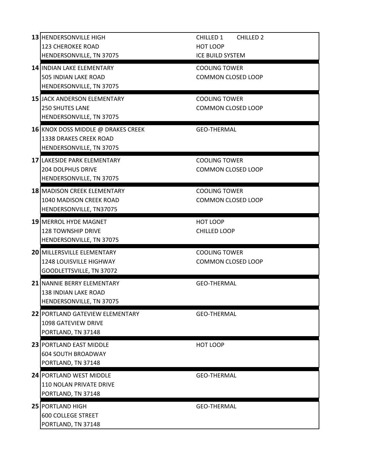| 13 HENDERSONVILLE HIGH                 | <b>CHILLED 2</b><br>CHILLED 1                     |  |
|----------------------------------------|---------------------------------------------------|--|
| <b>123 CHEROKEE ROAD</b>               | HOT LOOP                                          |  |
| HENDERSONVILLE, TN 37075               | <b>ICE BUILD SYSTEM</b>                           |  |
| 14 INDIAN LAKE ELEMENTARY              | <b>COOLING TOWER</b>                              |  |
| 505 INDIAN LAKE ROAD                   | <b>COMMON CLOSED LOOP</b>                         |  |
| HENDERSONVILLE, TN 37075               |                                                   |  |
| <b>15 JACK ANDERSON ELEMENTARY</b>     | <b>COOLING TOWER</b>                              |  |
| <b>250 SHUTES LANE</b>                 | <b>COMMON CLOSED LOOP</b>                         |  |
| HENDERSONVILLE, TN 37075               |                                                   |  |
| 16 KNOX DOSS MIDDLE @ DRAKES CREEK     | <b>GEO-THERMAL</b>                                |  |
| 1338 DRAKES CREEK ROAD                 |                                                   |  |
| HENDERSONVILLE, TN 37075               |                                                   |  |
| <b>17 LAKESIDE PARK ELEMENTARY</b>     |                                                   |  |
| <b>204 DOLPHUS DRIVE</b>               | <b>COOLING TOWER</b><br><b>COMMON CLOSED LOOP</b> |  |
| HENDERSONVILLE, TN 37075               |                                                   |  |
|                                        |                                                   |  |
| <b>18 MADISON CREEK ELEMENTARY</b>     | <b>COOLING TOWER</b>                              |  |
| 1040 MADISON CREEK ROAD                | <b>COMMON CLOSED LOOP</b>                         |  |
| HENDERSONVILLE, TN37075                |                                                   |  |
| <b>19 MERROL HYDE MAGNET</b>           | HOT LOOP                                          |  |
| <b>128 TOWNSHIP DRIVE</b>              | <b>CHILLED LOOP</b>                               |  |
| HENDERSONVILLE, TN 37075               |                                                   |  |
| <b>20 MILLERSVILLE ELEMENTARY</b>      | <b>COOLING TOWER</b>                              |  |
| 1248 LOUISVILLE HIGHWAY                | <b>COMMON CLOSED LOOP</b>                         |  |
| GOODLETTSVILLE, TN 37072               |                                                   |  |
| 21 NANNIE BERRY ELEMENTARY             | <b>GEO-THERMAL</b>                                |  |
| <b>138 INDIAN LAKE ROAD</b>            |                                                   |  |
| HENDERSONVILLE, TN 37075               |                                                   |  |
| <b>22 PORTLAND GATEVIEW ELEMENTARY</b> | <b>GEO-THERMAL</b>                                |  |
| 1098 GATEVIEW DRIVE                    |                                                   |  |
| PORTLAND, TN 37148                     |                                                   |  |
| 23 PORTLAND EAST MIDDLE                | HOT LOOP                                          |  |
| <b>604 SOUTH BROADWAY</b>              |                                                   |  |
| PORTLAND, TN 37148                     |                                                   |  |
| <b>24 PORTLAND WEST MIDDLE</b>         | <b>GEO-THERMAL</b>                                |  |
| <b>110 NOLAN PRIVATE DRIVE</b>         |                                                   |  |
| PORTLAND, TN 37148                     |                                                   |  |
|                                        |                                                   |  |
| <b>25 PORTLAND HIGH</b>                | <b>GEO-THERMAL</b>                                |  |
| <b>600 COLLEGE STREET</b>              |                                                   |  |
| PORTLAND, TN 37148                     |                                                   |  |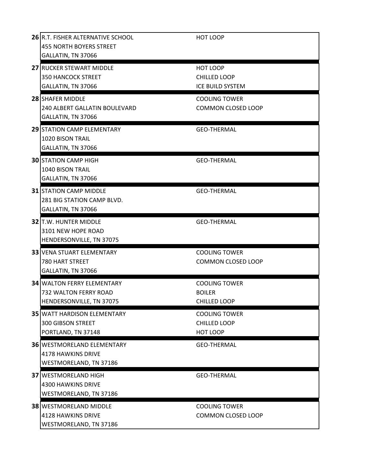| 26 R.T. FISHER ALTERNATIVE SCHOOL<br>455 NORTH BOYERS STREET<br>GALLATIN, TN 37066     | HOT LOOP                                                     |
|----------------------------------------------------------------------------------------|--------------------------------------------------------------|
| 27 RUCKER STEWART MIDDLE<br><b>350 HANCOCK STREET</b><br>GALLATIN, TN 37066            | HOT LOOP<br><b>CHILLED LOOP</b><br>ICE BUILD SYSTEM          |
| 28 SHAFER MIDDLE<br>240 ALBERT GALLATIN BOULEVARD<br>GALLATIN, TN 37066                | <b>COOLING TOWER</b><br><b>COMMON CLOSED LOOP</b>            |
| 29 STATION CAMP ELEMENTARY<br>1020 BISON TRAIL<br>GALLATIN, TN 37066                   | <b>GEO-THERMAL</b>                                           |
| <b>30 STATION CAMP HIGH</b><br>1040 BISON TRAIL<br>GALLATIN, TN 37066                  | <b>GEO-THERMAL</b>                                           |
| <b>31 STATION CAMP MIDDLE</b><br>281 BIG STATION CAMP BLVD.<br>GALLATIN, TN 37066      | <b>GEO-THERMAL</b>                                           |
| <b>32 T.W. HUNTER MIDDLE</b><br>3101 NEW HOPE ROAD<br>HENDERSONVILLE, TN 37075         | <b>GEO-THERMAL</b>                                           |
| <b>33 VENA STUART ELEMENTARY</b><br><b>780 HART STREET</b><br>GALLATIN, TN 37066       | <b>COOLING TOWER</b><br><b>COMMON CLOSED LOOP</b>            |
| <b>34 WALTON FERRY ELEMENTARY</b><br>732 WALTON FERRY ROAD<br>HENDERSONVILLE, TN 37075 | <b>COOLING TOWER</b><br><b>BOILER</b><br><b>CHILLED LOOP</b> |
| <b>35 WATT HARDISON ELEMENTARY</b><br><b>300 GIBSON STREET</b><br>PORTLAND, TN 37148   | <b>COOLING TOWER</b><br><b>CHILLED LOOP</b><br>HOT LOOP      |
| <b>36 WESTMORELAND ELEMENTARY</b><br>4178 HAWKINS DRIVE<br>WESTMORELAND, TN 37186      | <b>GEO-THERMAL</b>                                           |
| <b>37 WESTMORELAND HIGH</b><br>4300 HAWKINS DRIVE<br>WESTMORELAND, TN 37186            | <b>GEO-THERMAL</b>                                           |
| <b>38 WESTMORELAND MIDDLE</b><br>4128 HAWKINS DRIVE<br>WESTMORELAND, TN 37186          | <b>COOLING TOWER</b><br><b>COMMON CLOSED LOOP</b>            |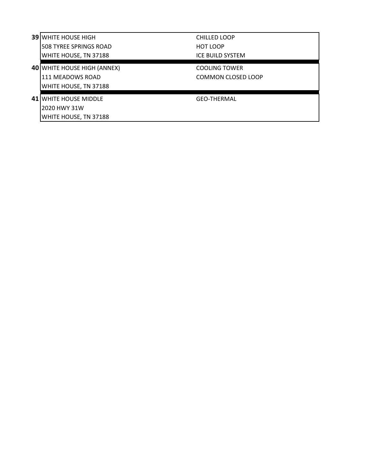| <b>39 WHITE HOUSE HIGH</b>         | <b>CHILLED LOOP</b>       |
|------------------------------------|---------------------------|
| I508 TYREE SPRINGS ROAD            | <b>HOT LOOP</b>           |
| WHITE HOUSE, TN 37188              | ICE BUILD SYSTEM          |
| <b>40 WHITE HOUSE HIGH (ANNEX)</b> | <b>COOLING TOWER</b>      |
| 111 MEADOWS ROAD                   | <b>COMMON CLOSED LOOP</b> |
| WHITE HOUSE, TN 37188              |                           |
| <b>41 WHITE HOUSE MIDDLE</b>       | <b>GEO-THERMAL</b>        |
| 12020 HWY 31W                      |                           |
| <b>WHITE HOUSE, TN 37188</b>       |                           |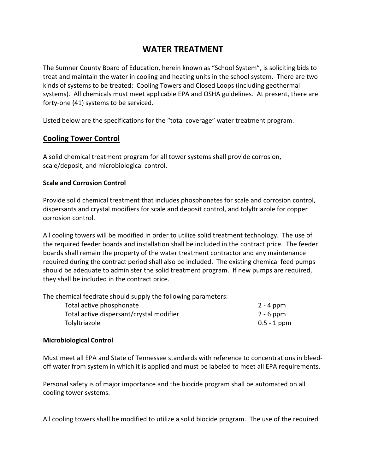# **WATER TREATMENT**

The Sumner County Board of Education, herein known as "School System", is soliciting bids to treat and maintain the water in cooling and heating units in the school system. There are two kinds of systems to be treated: Cooling Towers and Closed Loops (including geothermal systems). All chemicals must meet applicable EPA and OSHA guidelines. At present, there are forty-one (41) systems to be serviced.

Listed below are the specifications for the "total coverage" water treatment program.

## **Cooling Tower Control**

A solid chemical treatment program for all tower systems shall provide corrosion, scale/deposit, and microbiological control.

#### **Scale and Corrosion Control**

Provide solid chemical treatment that includes phosphonates for scale and corrosion control, dispersants and crystal modifiers for scale and deposit control, and tolyltriazole for copper corrosion control.

All cooling towers will be modified in order to utilize solid treatment technology. The use of the required feeder boards and installation shall be included in the contract price. The feeder boards shall remain the property of the water treatment contractor and any maintenance required during the contract period shall also be included. The existing chemical feed pumps should be adequate to administer the solid treatment program. If new pumps are required, they shall be included in the contract price.

The chemical feedrate should supply the following parameters:

| Total active phosphonate                 | 2 - 4 ppm     |
|------------------------------------------|---------------|
| Total active dispersant/crystal modifier | $2 - 6$ ppm   |
| Tolyltriazole                            | $0.5 - 1$ ppm |

#### **Microbiological Control**

Must meet all EPA and State of Tennessee standards with reference to concentrations in bleedoff water from system in which it is applied and must be labeled to meet all EPA requirements.

Personal safety is of major importance and the biocide program shall be automated on all cooling tower systems.

All cooling towers shall be modified to utilize a solid biocide program. The use of the required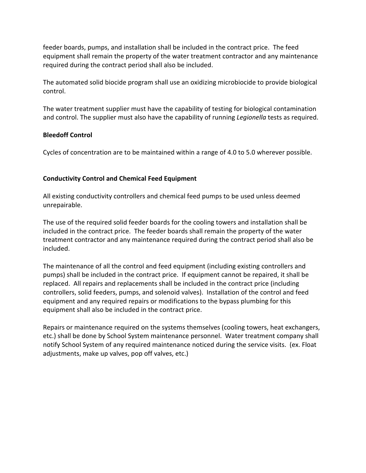feeder boards, pumps, and installation shall be included in the contract price. The feed equipment shall remain the property of the water treatment contractor and any maintenance required during the contract period shall also be included.

The automated solid biocide program shall use an oxidizing microbiocide to provide biological control.

The water treatment supplier must have the capability of testing for biological contamination and control. The supplier must also have the capability of running *Legionella* tests as required.

#### **Bleedoff Control**

Cycles of concentration are to be maintained within a range of 4.0 to 5.0 wherever possible.

## **Conductivity Control and Chemical Feed Equipment**

All existing conductivity controllers and chemical feed pumps to be used unless deemed unrepairable.

The use of the required solid feeder boards for the cooling towers and installation shall be included in the contract price. The feeder boards shall remain the property of the water treatment contractor and any maintenance required during the contract period shall also be included.

The maintenance of all the control and feed equipment (including existing controllers and pumps) shall be included in the contract price. If equipment cannot be repaired, it shall be replaced. All repairs and replacements shall be included in the contract price (including controllers, solid feeders, pumps, and solenoid valves). Installation of the control and feed equipment and any required repairs or modifications to the bypass plumbing for this equipment shall also be included in the contract price.

Repairs or maintenance required on the systems themselves (cooling towers, heat exchangers, etc.) shall be done by School System maintenance personnel. Water treatment company shall notify School System of any required maintenance noticed during the service visits. (ex. Float adjustments, make up valves, pop off valves, etc.)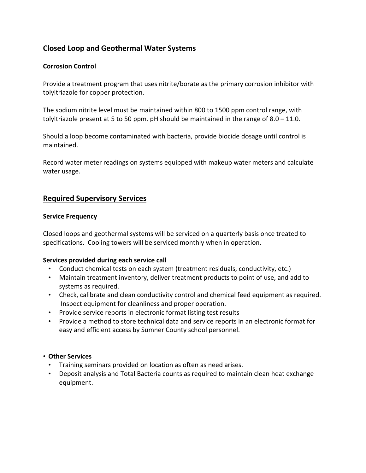## **Closed Loop and Geothermal Water Systems**

### **Corrosion Control**

Provide a treatment program that uses nitrite/borate as the primary corrosion inhibitor with tolyltriazole for copper protection.

The sodium nitrite level must be maintained within 800 to 1500 ppm control range, with tolyltriazole present at 5 to 50 ppm. pH should be maintained in the range of  $8.0 - 11.0$ .

Should a loop become contaminated with bacteria, provide biocide dosage until control is maintained.

Record water meter readings on systems equipped with makeup water meters and calculate water usage.

## **Required Supervisory Services**

#### **Service Frequency**

Closed loops and geothermal systems will be serviced on a quarterly basis once treated to specifications. Cooling towers will be serviced monthly when in operation.

#### **Services provided during each service call**

- Conduct chemical tests on each system (treatment residuals, conductivity, etc.)
- Maintain treatment inventory, deliver treatment products to point of use, and add to systems as required.
- Check, calibrate and clean conductivity control and chemical feed equipment as required. Inspect equipment for cleanliness and proper operation.
- Provide service reports in electronic format listing test results
- Provide a method to store technical data and service reports in an electronic format for easy and efficient access by Sumner County school personnel.

#### • **Other Services**

- Training seminars provided on location as often as need arises.
- Deposit analysis and Total Bacteria counts as required to maintain clean heat exchange equipment.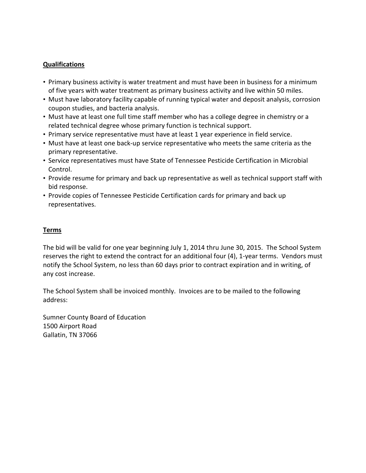#### **Qualifications**

- Primary business activity is water treatment and must have been in business for a minimum of five years with water treatment as primary business activity and live within 50 miles.
- Must have laboratory facility capable of running typical water and deposit analysis, corrosion coupon studies, and bacteria analysis.
- Must have at least one full time staff member who has a college degree in chemistry or a related technical degree whose primary function is technical support.
- Primary service representative must have at least 1 year experience in field service.
- Must have at least one back-up service representative who meets the same criteria as the primary representative.
- Service representatives must have State of Tennessee Pesticide Certification in Microbial Control.
- Provide resume for primary and back up representative as well as technical support staff with bid response.
- Provide copies of Tennessee Pesticide Certification cards for primary and back up representatives.

#### **Terms**

The bid will be valid for one year beginning July 1, 2014 thru June 30, 2015. The School System reserves the right to extend the contract for an additional four (4), 1-year terms. Vendors must notify the School System, no less than 60 days prior to contract expiration and in writing, of any cost increase.

The School System shall be invoiced monthly. Invoices are to be mailed to the following address:

Sumner County Board of Education 1500 Airport Road Gallatin, TN 37066